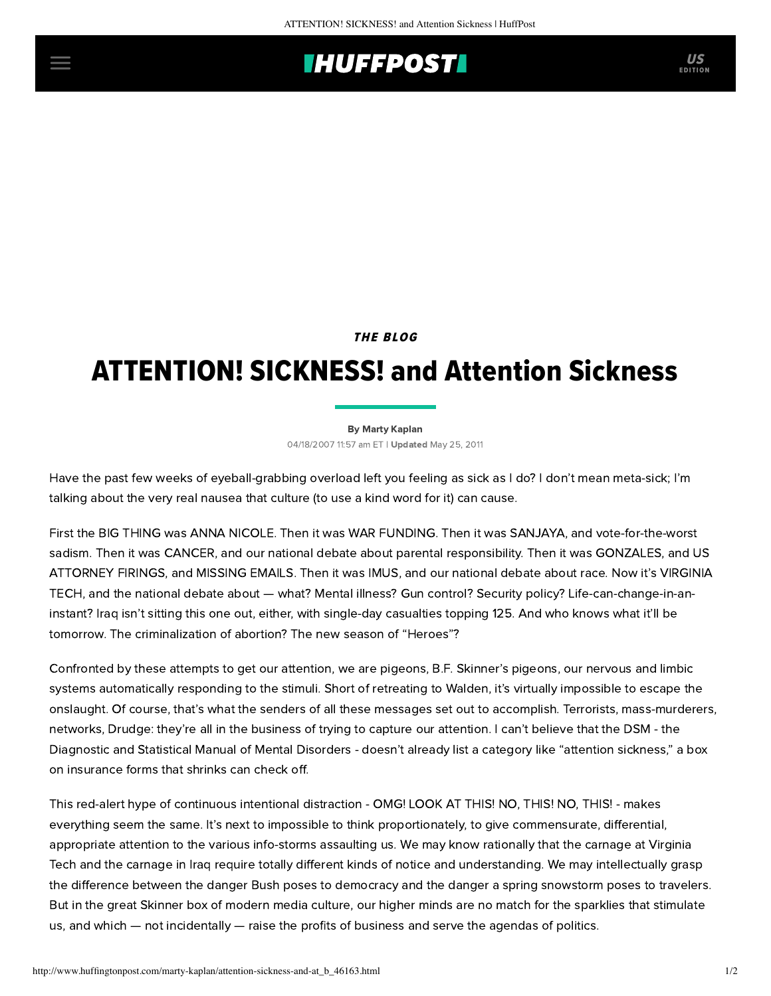## **INUFFPOSTI** US

THE BLOG

## ATTENTION! SICKNESS! and Attention Sickness

[By Marty Kaplan](http://www.huffingtonpost.com/author/marty-kaplan) 04/18/2007 11:57 am ET | Updated May 25, 2011

Have the past few weeks of eyeball-grabbing overload left you feeling as sick as I do? I don't mean meta-sick; I'm talking about the very real nausea that culture (to use a kind word for it) can cause.

First the BIG THING was ANNA NICOLE. Then it was WAR FUNDING. Then it was SANJAYA, and vote-for-the-worst sadism. Then it was CANCER, and our national debate about parental responsibility. Then it was GONZALES, and US ATTORNEY FIRINGS, and MISSING EMAILS. Then it was IMUS, and our national debate about race. Now it's VIRGINIA TECH, and the national debate about — what? Mental illness? Gun control? Security policy? Life-can-change-in-aninstant? Iraq isn't sitting this one out, either, with single-day casualties topping 125. And who knows what it'll be tomorrow. The criminalization of abortion? The new season of "Heroes"?

Confronted by these attempts to get our attention, we are pigeons, B.F. Skinner's pigeons, our nervous and limbic systems automatically responding to the stimuli. Short of retreating to Walden, it's virtually impossible to escape the onslaught. Of course, that's what the senders of all these messages set out to accomplish. Terrorists, mass-murderers, networks, Drudge: they're all in the business of trying to capture our attention. I can't believe that the DSM - the Diagnostic and Statistical Manual of Mental Disorders - doesn't already list a category like "attention sickness," a box on insurance forms that shrinks can check off.

This red-alert hype of continuous intentional distraction - OMG! LOOK AT THIS! NO, THIS! NO, THIS! - makes everything seem the same. It's next to impossible to think proportionately, to give commensurate, differential, appropriate attention to the various info-storms assaulting us. We may know rationally that the carnage at Virginia Tech and the carnage in Iraq require totally different kinds of notice and understanding. We may intellectually grasp the difference between the danger Bush poses to democracy and the danger a spring snowstorm poses to travelers. But in the great Skinner box of modern media culture, our higher minds are no match for the sparklies that stimulate us, and which — not incidentally — raise the profits of business and serve the agendas of politics.